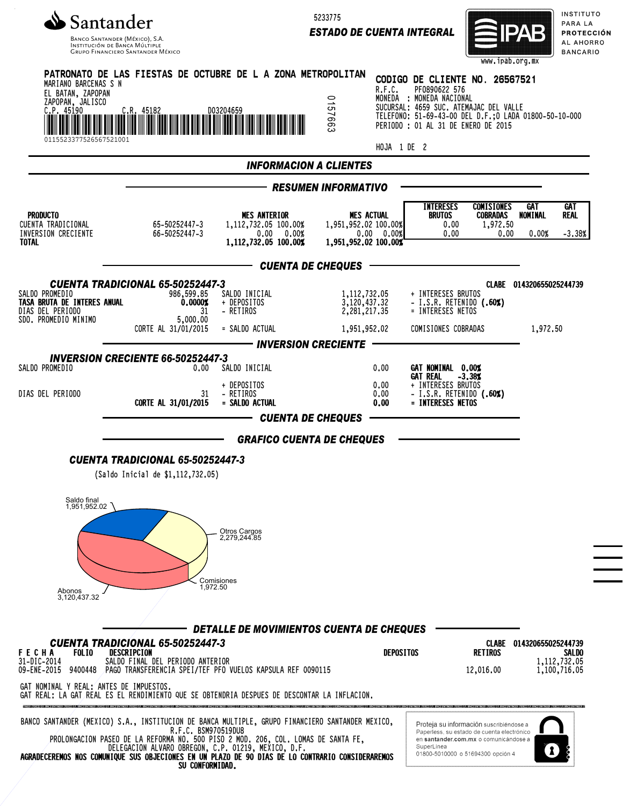

5233775

*ESTADO DE CUENTA INTEGRAL*



INSTITUTO PARA LA PROTECCIÓN AL AHORRO **BANCARIO** 

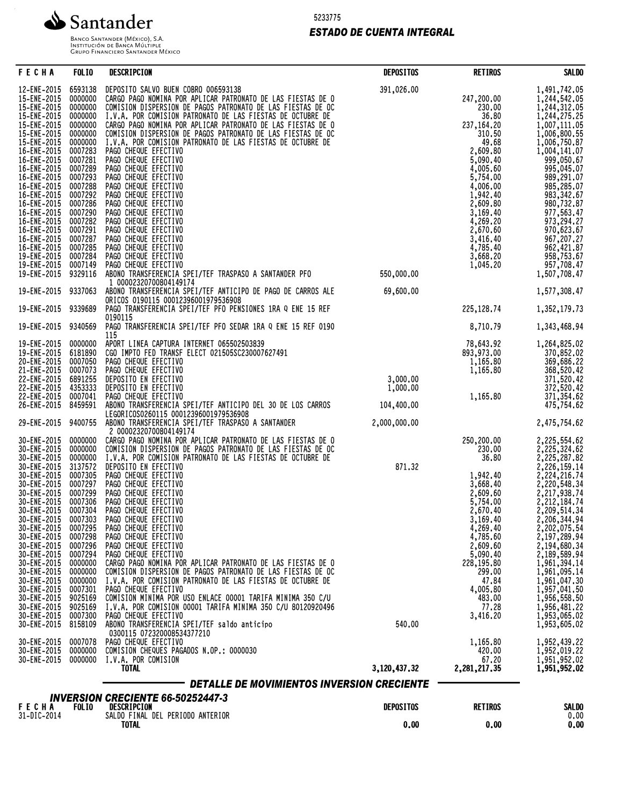

5233775

# *ESTADO DE CUENTA INTEGRAL*

Banco Santander (México), S.A.<br>Institución de Banca Múltiple<br>Grupo Financiero Santander México

| <b>FECHA</b>                                                                                                                                                                                                                                                                                                                                                                        | <b>FOLIO</b>                                                                                                                                                                                                                                                                    | DESCRIPCION                                                                                                                                                                                                                                                                                                                                                                                                                                                                                                                                                                                                                                                                                                                                                                                                                                                                                                                                                                                                                                             | <b>DEPOSITOS</b>           | <b>RETIROS</b>                                                                                                                                                                                                                                                   | <b>SALDO</b>                                                                                                                                                                                                                                                                                                                                                                                                 |  |  |
|-------------------------------------------------------------------------------------------------------------------------------------------------------------------------------------------------------------------------------------------------------------------------------------------------------------------------------------------------------------------------------------|---------------------------------------------------------------------------------------------------------------------------------------------------------------------------------------------------------------------------------------------------------------------------------|---------------------------------------------------------------------------------------------------------------------------------------------------------------------------------------------------------------------------------------------------------------------------------------------------------------------------------------------------------------------------------------------------------------------------------------------------------------------------------------------------------------------------------------------------------------------------------------------------------------------------------------------------------------------------------------------------------------------------------------------------------------------------------------------------------------------------------------------------------------------------------------------------------------------------------------------------------------------------------------------------------------------------------------------------------|----------------------------|------------------------------------------------------------------------------------------------------------------------------------------------------------------------------------------------------------------------------------------------------------------|--------------------------------------------------------------------------------------------------------------------------------------------------------------------------------------------------------------------------------------------------------------------------------------------------------------------------------------------------------------------------------------------------------------|--|--|
| 12-ENE-2015<br>15-ENE-2015<br>15-ENE-2015<br>15-ENE-2015<br>15-ENE-2015<br>15-ENE-2015<br>15-ENE-2015<br>16-ENE-2015<br>16-ENE-2015<br>16-ENE-2015<br>16-ENE-2015<br>16-ENE-2015<br>16-ENE-2015<br>16-ENE-2015<br>16-ENE-2015<br>16-ENE-2015<br>16-ENE-2015<br>16-ENE-2015<br>16-ENE-2015                                                                                           | 6593138<br>0000000<br>0000000<br>0000000<br>0000000<br>0000000<br>0000000<br>0007283<br>0007281<br>0007289<br>0007293<br>0007288<br>0007292<br>0007286<br>0007290<br>0007282<br>0007291<br>0007287<br>0007285                                                                   | DEPOSITO SALVO BUEN COBRO 006593138<br>CARGO PAGO NOMINA POR APLICAR PATRONATO DE LAS FIESTAS DE O<br>COMISION DISPERSION DE PAGOS PATRONATO DE LAS FIESTAS DE OC<br>I.V.A. POR COMISION PATRONATO DE LAS FIESTAS DE OCTUBRE DE<br>CARGO PAGO NOMINA POR APLICAR PATRONATO DE<br>I.V.A. POR COMISION PATRONATO DE LAS FIESTAS DE OCTUBRE DE<br>PAGO CHEQUE EFECTIVO<br>PAGO CHEQUE EFECTIVO<br>PAGO CHEQUE EFECTIVO<br>PAGO CHEQUE EFECTIVO<br>PAGO CHEQUE EFECTIVO<br>PAGO CHEQUE EFECTIVO<br>PAGO CHEQUE EFECTIVO<br>PAGO CHEQUE EFECTIVO<br>PAGO CHEQUE EFECTIVO<br>PAGO CHEQUE EFECTIVO<br>PAGO CHEQUE EFECTIVO<br>PAGO CHEQUE EFECTIVO                                                                                                                                                                                                                                                                                                                                                                                                             | 391,026.00                 | 247,200.00<br>230.00<br>36.80<br>237,164.20<br>310.50<br>49.68<br>2,609.80<br>5,090.40<br>4,005.60<br>5,754.00<br>4,006.00<br>1,942.40<br>2,609.80<br>3,169.40<br>4,269.20<br>2,670.60<br>3,416.40                                                               | 1,491,742.05<br>1,244,542.05<br>1,244,312.05<br>1,244,275.25<br>1,007,111.05<br>1,006,800.55<br>1,006,750.87<br>1,004,141.07<br>999,050.67<br>995,045.07<br>989,291.07<br>985,285.07<br>983,342.67<br>980,732.87<br>977,563.47<br>973,294.27<br>970,623.67<br>967,207.27<br>962,421.87                                                                                                                       |  |  |
| 19-ENE-2015<br>19-ENE-2015                                                                                                                                                                                                                                                                                                                                                          | 0007284<br>0007149                                                                                                                                                                                                                                                              | PAGO CHEQUE EFECTIVO                                                                                                                                                                                                                                                                                                                                                                                                                                                                                                                                                                                                                                                                                                                                                                                                                                                                                                                                                                                                                                    |                            | 4,785.40<br>3,668.20<br>1,045.20                                                                                                                                                                                                                                 | 958,753.67<br>957,708.47                                                                                                                                                                                                                                                                                                                                                                                     |  |  |
| 19-ENE-2015                                                                                                                                                                                                                                                                                                                                                                         | 9329116                                                                                                                                                                                                                                                                         | PAGO CHEQUE EFECTIVO<br>ABONO TRANSFERENCIA SPEI/TEF TRASPASO A SANTANDER PFO<br>1 00002320700804149174                                                                                                                                                                                                                                                                                                                                                                                                                                                                                                                                                                                                                                                                                                                                                                                                                                                                                                                                                 | 550,000.00                 |                                                                                                                                                                                                                                                                  | 1,507,708.47                                                                                                                                                                                                                                                                                                                                                                                                 |  |  |
| 19-ENE-2015                                                                                                                                                                                                                                                                                                                                                                         | 9337063                                                                                                                                                                                                                                                                         | ABONO TRANSFERENCIA SPEI/TEF ANTICIPO DE PAGO DE CARROS ALE<br>ORICOS 0190115 00012396001979536908                                                                                                                                                                                                                                                                                                                                                                                                                                                                                                                                                                                                                                                                                                                                                                                                                                                                                                                                                      | 69,600.00                  |                                                                                                                                                                                                                                                                  | 1,577,308.47                                                                                                                                                                                                                                                                                                                                                                                                 |  |  |
| 19-ENE-2015 9339689                                                                                                                                                                                                                                                                                                                                                                 |                                                                                                                                                                                                                                                                                 | PAGO TRANSFERENCIA SPEI/TEF PFO PENSIONES 1RA Q ENE 15 REF<br>0190115                                                                                                                                                                                                                                                                                                                                                                                                                                                                                                                                                                                                                                                                                                                                                                                                                                                                                                                                                                                   |                            | 225,128.74                                                                                                                                                                                                                                                       | 1,352,179.73                                                                                                                                                                                                                                                                                                                                                                                                 |  |  |
| 19-ENE-2015 9340569                                                                                                                                                                                                                                                                                                                                                                 |                                                                                                                                                                                                                                                                                 | PAGO TRANSFERENCIA SPEI/TEF PFO SEDAR 1RA Q ENE 15 REF 0190<br>115                                                                                                                                                                                                                                                                                                                                                                                                                                                                                                                                                                                                                                                                                                                                                                                                                                                                                                                                                                                      |                            | 8,710.79                                                                                                                                                                                                                                                         | 1,343,468.94                                                                                                                                                                                                                                                                                                                                                                                                 |  |  |
| 19-ENE-2015<br>19-ENE-2015<br>20-ENE-2015<br>21-ENE-2015<br>22-ENE-2015<br>22-ENE-2015<br>22-ENE-2015<br>26-ENE-2015                                                                                                                                                                                                                                                                | 0000000<br>6181890<br>0007050<br>0007073<br>6891255<br>4353333<br>0007041                                                                                                                                                                                                       | APORT LINEA CAPTURA INTERNET 065502503839<br>CGO IMPTO FED TRANSF ELECT 021505SC230007627491<br>PAGO CHEQUE EFECTIVO<br>PAGO CHEQUE EFECTIVO<br>DEPOSITO EN EFECTIVO<br>DEPOSITO EN EFECTIVO<br>PAGO CHEQUE EFECTIVO<br>ABONO TRANSFERENCIA SPEI/TEF ANTICIPO DEL 30 DE LOS CARROS                                                                                                                                                                                                                                                                                                                                                                                                                                                                                                                                                                                                                                                                                                                                                                      | 3,000.00<br>1,000.00       | 78,643.92<br>893,973.00<br>1,165.80<br>1,165.80<br>1,165.80                                                                                                                                                                                                      | 1,264,825.02<br>370,852.02<br>369,686.22<br>368, 520.42<br>371, 520.42<br>372, 520.42<br>371, 354.62<br>475, 754.62                                                                                                                                                                                                                                                                                          |  |  |
| 29-ENE-2015                                                                                                                                                                                                                                                                                                                                                                         | 8459591<br>9400755                                                                                                                                                                                                                                                              | LEGORICOS0260115 00012396001979536908<br>ABONO TRANSFERENCIA SPEI/TEF TRASPASO A SANTANDER                                                                                                                                                                                                                                                                                                                                                                                                                                                                                                                                                                                                                                                                                                                                                                                                                                                                                                                                                              | 104,400.00<br>2,000,000.00 |                                                                                                                                                                                                                                                                  | 2,475,754.62                                                                                                                                                                                                                                                                                                                                                                                                 |  |  |
| 30-ENE-2015<br>30-ENE-2015<br>30-ENE-2015<br>30-ENE-2015<br>30-ENE-2015<br>30-ENE-2015<br>30-ENE-2015<br>30-ENE-2015<br>30-ENE-2015<br>30-ENE-2015<br>30-ENE-2015<br>30-ENE-2015<br>30-ENE-2015<br>30-ENE-2015<br>30-ENE-2015<br>30-ENE-2015<br>30-ENE-2015<br>30-ENE-2015<br>30-ENE-2015<br>30-ENE-2015<br>30-ENE-2015<br>30-ENE-2015<br>30-ENE-2015<br>30-ENE-2015<br>30-ENE-2015 | 0000000<br>0000000<br>0000000<br>3137572<br>0007305<br>0007297<br>0007299<br>0007306<br>0007304<br>0007303<br>0007295<br>0007298<br>0007296<br>0007294<br>0000000<br>0000000<br>0000000<br>0007301<br>9025169<br>9025169<br>0007300<br>8158109<br>0007078<br>0000000<br>0000000 | 2 00002320700804149174<br>CARGO PAGO NOMINA POR APLICAR PATRONATO DE LAS FIESTAS DE O<br>COMISION DISPERSION DE PAGOS PATRONATO DE LAS FIESTAS DE OC<br>I.V.A. POR COMISION PATRONATO DE LAS FIESTAS DE OCTUBRE DE DEPOSITO EN EFECTIVO<br>PAGO CHEQUE EFECTIVO<br>PAGO CHEQUE EFECTIVO<br>PAGO CHEQUE EFECTIVO<br>PAGO CHEQUE EFECTIVO<br>PAGO CHEQUE EFECTIVO<br>PAGO CHEQUE EFECTIVO<br>PAGO CHEQUE EFECTIVO<br>PAGO CHEQUE EFECTIVO<br>PAGO CHEQUE EFECTIVO<br>PAGO CHEQUE EFECTIVO<br>CARGO PAGO NOMINA POR APLICAR PATRONATO DE LAS FIESTAS DE O<br>COMISION DISPERSION DE PAGOS PATRONATO DE LAS FIESTAS DE OC<br>I.V.A. POR COMISION PATRONATO DE LAS FIESTAS DE OCTUBRE DE<br>PAGO CHEQUE EFECTIVO<br>COMISION MINIMA POR USO ENLACE 00001 TARIFA MINIMA 350 C/U<br>I.V.A. POR COMISION 00001 TARIFA MINIMA 350 C/U 80120920496<br>PAGO CHEQUE EFECTIVO<br>ABONO TRANSFERENCIA SPEI/TEF saldo anticipo<br>0300115 072320008534377210<br>PAGO CHEQUE EFECTIVO<br>COMISION CHEQUES PAGADOS N.OP.: 0000030<br>I.V.A. POR COMISION<br><b>TOTAL</b> | 871.32<br>540.00           | 250,200.00<br>230.00<br>36.80<br>1,942.40<br>3,668.40<br>2,609.60<br>5,754.00<br>2,670.40<br>3,169.40<br>4,269.40<br>4,785.60<br>2,609.60<br>5,090.40<br>228,195.80<br>299.00<br>47.84<br>4,005.80<br>483.00<br>77.28<br>3,416.20<br>1,165.80<br>420.00<br>67.20 | 2,225,554.62<br>2,225,324.62<br>2,225,287.82<br>2,226,159.14<br>2,224,216.74<br>2,220,548.34<br>2,217,938.74<br>2,212,184.74<br>2,209,514.34<br>2,206,344.94<br>2,202,075.54<br>2,197,289.94<br>2,194,680.34<br>2,189,589.94<br>1,961,394.14<br>1,961,095.14<br>1,961,047.30<br>1,957,041.50<br>1,956,558.50<br>1,956,481.22<br>1,953,065.02<br>1,953,605.02<br>1,952,439.22<br>1,952,019.22<br>1,951,952.02 |  |  |
|                                                                                                                                                                                                                                                                                                                                                                                     |                                                                                                                                                                                                                                                                                 | DETALLE DE MOVIMIENTOS INVERSION CRECIENTE                                                                                                                                                                                                                                                                                                                                                                                                                                                                                                                                                                                                                                                                                                                                                                                                                                                                                                                                                                                                              | 3,120,437.32               | 2,281,217.35                                                                                                                                                                                                                                                     | 1,951,952.02                                                                                                                                                                                                                                                                                                                                                                                                 |  |  |
| <b>INVERSION CRECIENTE 66-50252447-3</b>                                                                                                                                                                                                                                                                                                                                            |                                                                                                                                                                                                                                                                                 |                                                                                                                                                                                                                                                                                                                                                                                                                                                                                                                                                                                                                                                                                                                                                                                                                                                                                                                                                                                                                                                         |                            |                                                                                                                                                                                                                                                                  |                                                                                                                                                                                                                                                                                                                                                                                                              |  |  |
| <b>FECHA</b><br>31-DIC-2014                                                                                                                                                                                                                                                                                                                                                         | <b>FOLIO</b>                                                                                                                                                                                                                                                                    | DESCRIPCION<br>SALDO FINAL DEL PERIODO ANTERIOR<br>TATAI                                                                                                                                                                                                                                                                                                                                                                                                                                                                                                                                                                                                                                                                                                                                                                                                                                                                                                                                                                                                | <b>DEPOSITOS</b><br>0.00   | <b>RETIROS</b><br>n nn                                                                                                                                                                                                                                           | <b>SALDO</b><br>0.00                                                                                                                                                                                                                                                                                                                                                                                         |  |  |

TOTAL 0.00 0.00 0.00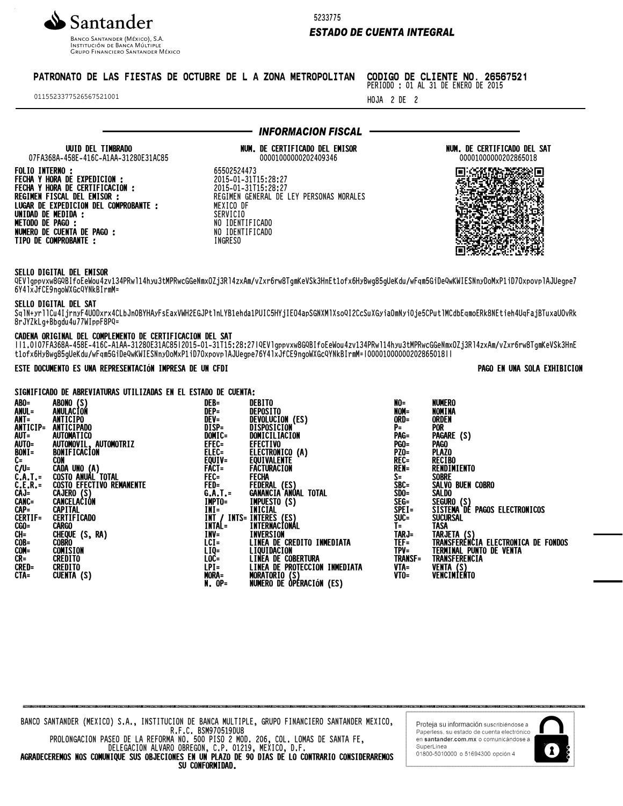

INSTITUCIÓN DE BANCA MÚLTIP **GRUPO FINANCIERO SANTANDER MÉXICO**  5233775

# *ESTADO DE CUENTA INTEGRAL*

# PATRONATO DE LAS FIESTAS DE OCTUBRE DE L A ZONA METROPOLITAN

SERVICIO NO IDENTIFICADO NO IDENTIFICADO INGRESO

0115523377526567521001

#### CODIGO DE CLIENTE NO. 26567521 PERIODO : 01 AL 31 DE ENERO DE 2015

HOJA 2 DE 2

NUMERO

UUID DEL TIMBRADO 07FA368A-458E-416C-A1AA-31280E31AC85 FOLIO INTERNO :

FECHA Y HORA DE EXPEDICION : FECHA Y HORA DE CERTIFICACION : REGIMEN FISCAL DEL EMISOR : LUGAR DE EXPEDICION DEL COMPROBANTE : UNIDAD DE MEDIDA : METODO DE PAGO : NUMERO DE CUENTA DE PAGO : TIPO DE COMPROBANTE :

#### 00001000000202409346 65502524473 2015-01-31T15:28:27 2015-01-31T15:28:27 REGIMEN GENERAL DE LEY PERSONAS MORALES MEXICO DF

NUM. DE CERTIFICADO DEL EMISOR

*INFORMACION FISCAL*

NUM. DE CERTIFICADO DEL SAT 00001000000202865018



# SELLO DIGITAL DEL EMISOR

QEVlgppvxw8GQBIfoEeWou4zv134PRwl14hyu3tMPRwcGGeNmxOZj3Rl4zxAm/vZxr6rw8TgmKeVSk3HnEt1ofx6HyBwg85gUeKdu/wFqm5GiDeQwKWIESNnyDoMxP1iD7OxpovplAJUegpe7 6Y4lxJfCE9ngoWXGcQYNkBIrmM=

#### SELLO DIGITAL DEL SAT

SqlN+yrllCu4IjrnyF4UODxrx4CLbJn0BYHAyFsEaxVWH2EGJPtlnLYB1ehda1PUIC5HYjIEO4apSGNXMlXsoQI2CcSuXGyiaOmNyi0je5CPutlMCdbEqmoERk8NEtieh4UqFajBTuxaUOvRk 8rJYZkLg+Bbgdu4u77WIppF8PQ=

# CADENA ORIGINAL DEL COMPLEMENTO DE CERTIFICACION DEL SAT

||1.0|07FA368A-458E-416C-A1AA-31280E31AC85|2015-01-31T15:28:27|QEVlgppvxw8GQBIfoEeWou4zv134PRwl14hyu3tMPRwcGGeNmxOZj3Rl4zxAm/vZxr6rw8TgmKeVSk3HnE t1ofx6HyBwg85gUeKdu/wFqm5GiDeQwKWIESNnyDoMxP1iD7OxpovplAJUegpe76Y4lxJfCE9ngoWXGcQYNkBIrmM=|00001000000202865018||

NUMERO DE OPERACIÓN (ES)

# ESTE DOCUMENTO ES UNA REPRESENTACIÓN IMPRESA DE UN CFDI PAGO EN UNA SOLA EXHIBICION

## SIGNIFICADO DE ABREVIATURAS UTILIZADAS EN EL ESTADO DE CUENTA:

| ABO=           | ABONO (S)                                      | DEB=     | DEBITO                                                           |
|----------------|------------------------------------------------|----------|------------------------------------------------------------------|
| ANUL=          | ANULACION                                      | DEP=     | <b>DEPOSITO</b>                                                  |
| $ANT =$        | ANTICIPO                                       | $DEV =$  | DEVOLUCION (ES)                                                  |
| ANTICIP=       | <b>ANTICIPADO</b>                              | DISP=    | DISPOSICION                                                      |
| $AUT =$        | <b>AUTOMATICO</b>                              | DOMIC=   | DOMICILIACION                                                    |
|                | AUTO= AUTOMOVIL, AUTOMOTRIZ                    | $EFEC =$ | <b>EFECTIVO</b>                                                  |
|                |                                                |          |                                                                  |
| BONI=          | BONIFICACION                                   |          | ELEC= ELECTRONICO (A)<br>EQUIV= EQUIVALENTE                      |
| C=             | CON                                            |          |                                                                  |
|                | C/U= CADA UNO (A)<br>C.A.T.= COSTO ANUAL TOTAL | $FACT =$ | FACTURACION                                                      |
|                |                                                | $FEC =$  | FECHA                                                            |
|                | C.E.R.= COSTO EFECTIVO REMANENTE               |          |                                                                  |
|                | CAJ= CAJERO (S)                                |          | <b>GANANCIA ANÚAL TOTAL</b>                                      |
|                | CANC= CANCELACIÓN                              |          | IMPTO= IMPUESTO (S)<br>INI= INICIAL                              |
| $CAP =$        | <b>CAPITAL</b>                                 |          |                                                                  |
| <b>CERTIF=</b> | <b>CERTIFICADO</b>                             |          |                                                                  |
| $CGO=$         | <b>CARGO</b>                                   |          | INT / INTS= INTERES (ES)<br>INTAL= INTERNACIONA<br>INTERNACIONAL |
| $CH=$          | CHEQUE (S, RA)                                 | INV=     | INVERSION                                                        |
| $COB =$        | <b>COBRO</b>                                   | $LCI =$  | LINEA DE CREDITO INMEDIATA                                       |
| $COM =$        | <b>COMISION</b>                                | $LIQ=$   | LIQUIDACION                                                      |
| $CR =$         | <b>CREDITO</b>                                 | $LOC =$  | <b>LINEA DE COBERTURA</b>                                        |
| <b>CRED=</b>   | <b>CREDITO</b>                                 | $LPI =$  | LINEA DE PROTECCION INMEDIATA                                    |
| CTA=           | CUENTA (S)                                     | MORA=    | <b>MORATORIO (S)</b>                                             |
|                |                                                | $N.0P=$  | NUMERO DE OPÉRACIÓN (ES)                                         |

| NO=            | <b>NUMERO</b>                       |
|----------------|-------------------------------------|
| NOM=           | NOMINA                              |
| ORD=           | ORDEN                               |
| PΞ             | <b>POR</b>                          |
| PAG=           | PAGARE (S)                          |
| <b>PGO=</b>    | <b>PAGO</b>                         |
| PZO=           | <b>PLAZO</b>                        |
| REC=           | <b>RECIBO</b>                       |
| REN=           | RENDIMIENTO                         |
| $S =$          | SOBRE                               |
| $SBC =$        | SALVO BUEN COBRO                    |
| SDO=           | <b>SALDO</b>                        |
| SEG=           | SEGURO (S)                          |
| $SPEI =$       | SISTEMA DE PAGOS ELECTRONICOS       |
| SUC=           | <b>SUCURSAL</b>                     |
| $T =$          | TASA                                |
| TARJ=          | TARJETA (S)                         |
| TEF=           | TRANSFERÈNCIA ELECTRONICA DE FONDOS |
| $TPV =$        | TERMINAL PUNTO DE VENTA             |
| <b>TRANSF=</b> | TRANSFERENCIA                       |
| VTA=           | <b>VENTA</b><br>(S)                 |
| VTO=           | VENCIMIENTO                         |
|                |                                     |

PROLONGACION PASEO DE LA REFORMA NO. 500 PISO 2 MOD. 206, COL. LOMAS DE SANTA FE, DELEGACION ALVARO OBREGON, C.P. 01219, MEXICO, D.F.

AGRADECEREMOS NOS COMUNIQUE SUS OBJECIONES EN UN PLAZO DE 90 DIAS DE LO CONTRARIO CONSIDERAREMOS SU CONFORMIDAD.

Proteja su información suscribiendose a Paperless, su estado de cuenta electrónico en santander.com.mx o comunicándose a SuperLinea 01800-5010000 o 51694300 opción 4